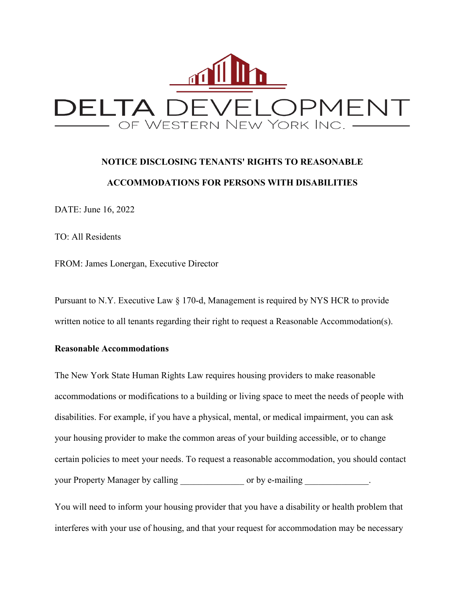

## **NOTICE DISCLOSING TENANTS' RIGHTS TO REASONABLE ACCOMMODATIONS FOR PERSONS WITH DISABILITIES**

DATE: June 16, 2022

TO: All Residents

FROM: James Lonergan, Executive Director

Pursuant to N.Y. Executive Law § 170-d, Management is required by NYS HCR to provide written notice to all tenants regarding their right to request a Reasonable Accommodation(s).

## **Reasonable Accommodations**

The New York State Human Rights Law requires housing providers to make reasonable accommodations or modifications to a building or living space to meet the needs of people with disabilities. For example, if you have a physical, mental, or medical impairment, you can ask your housing provider to make the common areas of your building accessible, or to change certain policies to meet your needs. To request a reasonable accommodation, you should contact your Property Manager by calling or by e-mailing \_\_\_\_\_\_\_\_\_\_\_\_.

You will need to inform your housing provider that you have a disability or health problem that interferes with your use of housing, and that your request for accommodation may be necessary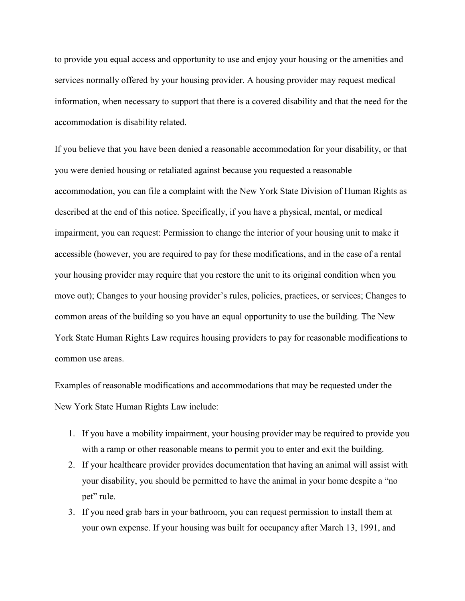to provide you equal access and opportunity to use and enjoy your housing or the amenities and services normally offered by your housing provider. A housing provider may request medical information, when necessary to support that there is a covered disability and that the need for the accommodation is disability related.

If you believe that you have been denied a reasonable accommodation for your disability, or that you were denied housing or retaliated against because you requested a reasonable accommodation, you can file a complaint with the New York State Division of Human Rights as described at the end of this notice. Specifically, if you have a physical, mental, or medical impairment, you can request: Permission to change the interior of your housing unit to make it accessible (however, you are required to pay for these modifications, and in the case of a rental your housing provider may require that you restore the unit to its original condition when you move out); Changes to your housing provider's rules, policies, practices, or services; Changes to common areas of the building so you have an equal opportunity to use the building. The New York State Human Rights Law requires housing providers to pay for reasonable modifications to common use areas.

Examples of reasonable modifications and accommodations that may be requested under the New York State Human Rights Law include:

- 1. If you have a mobility impairment, your housing provider may be required to provide you with a ramp or other reasonable means to permit you to enter and exit the building.
- 2. If your healthcare provider provides documentation that having an animal will assist with your disability, you should be permitted to have the animal in your home despite a "no pet" rule.
- 3. If you need grab bars in your bathroom, you can request permission to install them at your own expense. If your housing was built for occupancy after March 13, 1991, and